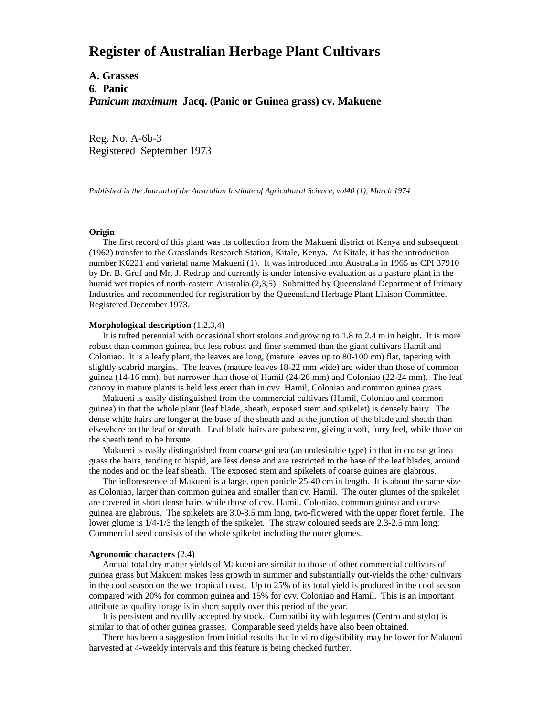# **Register of Australian Herbage Plant Cultivars**

**A. Grasses 6. Panic** *Panicum maximum* **Jacq. (Panic or Guinea grass) cv. Makuene**

Reg. No. A-6b-3 Registered September 1973

*Published in the Journal of the Australian Institute of Agricultural Science, vol40 (1), March 1974*

### **Origin**

 The first record of this plant was its collection from the Makueni district of Kenya and subsequent (1962) transfer to the Grasslands Research Station, Kitale, Kenya. At Kitale, it has the introduction number K6221 and varietal name Makueni (1). It was introduced into Australia in 1965 as CPI 37910 by Dr. B. Grof and Mr. J. Redrup and currently is under intensive evaluation as a pasture plant in the humid wet tropics of north-eastern Australia (2,3,5). Submitted by Queensland Department of Primary Industries and recommended for registration by the Queensland Herbage Plant Liaison Committee. Registered December 1973.

#### **Morphological description** (1,2,3,4)

 It is tufted perennial with occasional short stolons and growing to 1.8 to 2.4 m in height. It is more robust than common guinea, but less robust and finer stemmed than the giant cultivars Hamil and Coloniao. It is a leafy plant, the leaves are long, (mature leaves up to 80-100 cm) flat, tapering with slightly scabrid margins. The leaves (mature leaves 18-22 mm wide) are wider than those of common guinea (14-16 mm), but narrower than those of Hamil (24-26 mm) and Coloniao (22-24 mm). The leaf canopy in mature plants is held less erect than in cvv. Hamil, Coloniao and common guinea grass.

 Makueni is easily distinguished from the commercial cultivars (Hamil, Coloniao and common guinea) in that the whole plant (leaf blade, sheath, exposed stem and spikelet) is densely hairy. The dense white hairs are longer at the base of the sheath and at the junction of the blade and sheath than elsewhere on the leaf or sheath. Leaf blade hairs are pubescent, giving a soft, furry feel, while those on the sheath tend to be hirsute.

 Makueni is easily distinguished from coarse guinea (an undesirable type) in that in coarse guinea grass the hairs, tending to hispid, are less dense and are restricted to the base of the leaf blades, around the nodes and on the leaf sheath. The exposed stem and spikelets of coarse guinea are glabrous.

 The inflorescence of Makueni is a large, open panicle 25-40 cm in length. It is about the same size as Coloniao, larger than common guinea and smaller than cv. Hamil. The outer glumes of the spikelet are covered in short dense hairs while those of cvv. Hamil, Coloniao, common guinea and coarse guinea are glabrous. The spikelets are 3.0-3.5 mm long, two-flowered with the upper floret fertile. The lower glume is 1/4-1/3 the length of the spikelet. The straw coloured seeds are 2.3-2.5 mm long. Commercial seed consists of the whole spikelet including the outer glumes.

#### **Agronomic characters** (2,4)

 Annual total dry matter yields of Makueni are similar to those of other commercial cultivars of guinea grass but Makueni makes less growth in summer and substantially out-yields the other cultivars in the cool season on the wet tropical coast. Up to 25% of its total yield is produced in the cool season compared with 20% for common guinea and 15% for cvv. Coloniao and Hamil. This is an important attribute as quality forage is in short supply over this period of the year.

 It is persistent and readily accepted by stock. Compatibility with legumes (Centro and stylo) is similar to that of other guinea grasses. Comparable seed yields have also been obtained.

 There has been a suggestion from initial results that in vitro digestibility may be lower for Makueni harvested at 4-weekly intervals and this feature is being checked further.